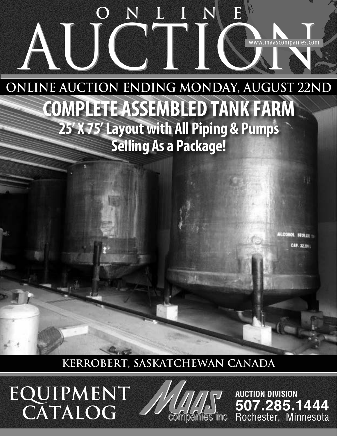# AUCTION AUCTION **ONLINE**

**Online Auction Ending Monday, August 22nd COMPLETE ASSEMBLED TANK FARM 25' X 75' Layout with All Piping & Pumps Selling As a Package!**

> LCONOL STOLL ... **CAP. 32.2001**

**KERROBERT, SASKATCHEWAN CANADA**

**EQUIPMENT CATALOG**



**AUCTION DIVISION 507.285.1444** Rochester, Minnesota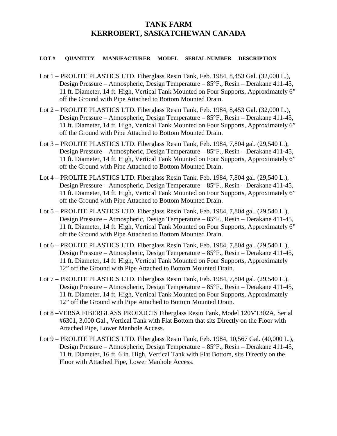# **TANK FARM KERROBERT, SASKATCHEWAN CANADA**

## **LOT # QUANTITY MANUFACTURER MODEL SERIAL NUMBER DESCRIPTION**

- Lot 1 PROLITE PLASTICS LTD. Fiberglass Resin Tank, Feb. 1984, 8,453 Gal. (32,000 L.), Design Pressure – Atmospheric, Design Temperature – 85°F., Resin – Derakane 411-45, 11 ft. Diameter, 14 ft. High, Vertical Tank Mounted on Four Supports, Approximately 6" off the Ground with Pipe Attached to Bottom Mounted Drain.
- Lot 2 PROLITE PLASTICS LTD. Fiberglass Resin Tank, Feb. 1984, 8,453 Gal. (32,000 L.), Design Pressure – Atmospheric, Design Temperature – 85°F., Resin – Derakane 411-45, 11 ft. Diameter, 14 ft. High, Vertical Tank Mounted on Four Supports, Approximately 6" off the Ground with Pipe Attached to Bottom Mounted Drain.
- Lot 3 PROLITE PLASTICS LTD. Fiberglass Resin Tank, Feb. 1984, 7,804 gal. (29,540 L.), Design Pressure – Atmospheric, Design Temperature – 85°F., Resin – Derakane 411-45, 11 ft. Diameter, 14 ft. High, Vertical Tank Mounted on Four Supports, Approximately 6" off the Ground with Pipe Attached to Bottom Mounted Drain.
- Lot 4 PROLITE PLASTICS LTD. Fiberglass Resin Tank, Feb. 1984, 7,804 gal. (29,540 L.), Design Pressure – Atmospheric, Design Temperature – 85°F., Resin – Derakane 411-45, 11 ft. Diameter, 14 ft. High, Vertical Tank Mounted on Four Supports, Approximately 6" off the Ground with Pipe Attached to Bottom Mounted Drain.
- Lot 5 PROLITE PLASTICS LTD. Fiberglass Resin Tank, Feb. 1984, 7,804 gal. (29,540 L.), Design Pressure – Atmospheric, Design Temperature – 85°F., Resin – Derakane 411-45, 11 ft. Diameter, 14 ft. High, Vertical Tank Mounted on Four Supports, Approximately 6" off the Ground with Pipe Attached to Bottom Mounted Drain.
- Lot 6 PROLITE PLASTICS LTD. Fiberglass Resin Tank, Feb. 1984, 7,804 gal. (29,540 L.), Design Pressure – Atmospheric, Design Temperature – 85°F., Resin – Derakane 411-45, 11 ft. Diameter, 14 ft. High, Vertical Tank Mounted on Four Supports, Approximately 12" off the Ground with Pipe Attached to Bottom Mounted Drain.
- Lot 7 PROLITE PLASTICS LTD. Fiberglass Resin Tank, Feb. 1984, 7,804 gal. (29,540 L.), Design Pressure – Atmospheric, Design Temperature – 85°F., Resin – Derakane 411-45, 11 ft. Diameter, 14 ft. High, Vertical Tank Mounted on Four Supports, Approximately 12" off the Ground with Pipe Attached to Bottom Mounted Drain.
- Lot 8 –VERSA FIBERGLASS PRODUCTS Fiberglass Resin Tank, Model 120VT302A, Serial #6301, 3,000 Gal., Vertical Tank with Flat Bottom that sits Directly on the Floor with Attached Pipe, Lower Manhole Access.
- Lot 9 PROLITE PLASTICS LTD. Fiberglass Resin Tank, Feb. 1984, 10,567 Gal. (40,000 L.), Design Pressure – Atmospheric, Design Temperature – 85°F., Resin – Derakane 411-45, 11 ft. Diameter, 16 ft. 6 in. High, Vertical Tank with Flat Bottom, sits Directly on the Floor with Attached Pipe, Lower Manhole Access.